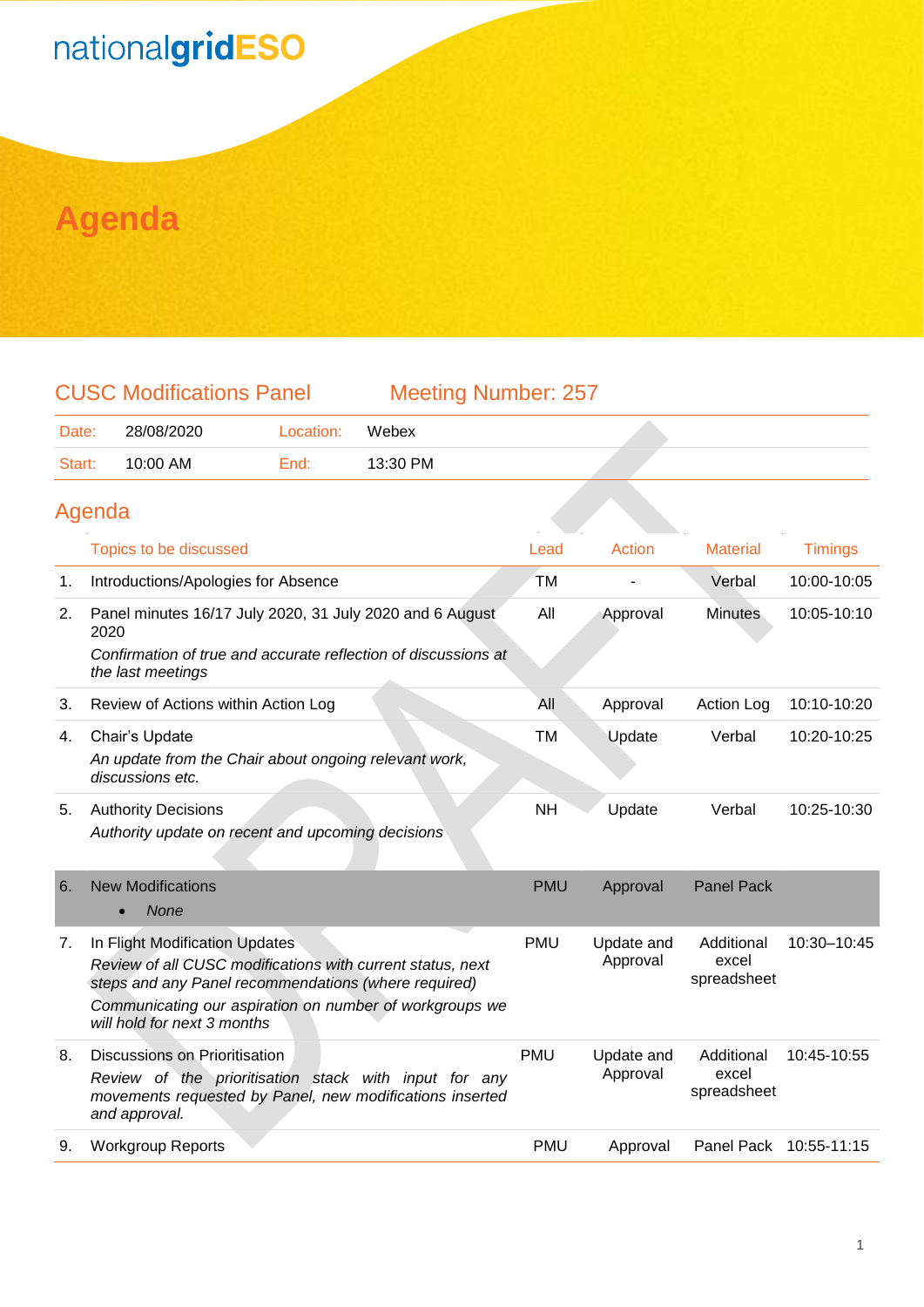# nationalgridESO

### **Agenda**

#### CUSC Modifications Panel Meeting Number: 257

Date: 28/08/2020 Location: Webex Start: 10:00 AM End: 13:30 PM

#### Agenda

|    | Topics to be discussed                                                                                                                                                                                                                         | Lead       | <b>Action</b>          | <b>Material</b>                    | <b>Timings</b>         |
|----|------------------------------------------------------------------------------------------------------------------------------------------------------------------------------------------------------------------------------------------------|------------|------------------------|------------------------------------|------------------------|
| 1. | Introductions/Apologies for Absence                                                                                                                                                                                                            | <b>TM</b>  |                        | Verbal                             | 10:00-10:05            |
| 2. | Panel minutes 16/17 July 2020, 31 July 2020 and 6 August<br>2020                                                                                                                                                                               | All        | Approval               | <b>Minutes</b>                     | 10:05-10:10            |
|    | Confirmation of true and accurate reflection of discussions at<br>the last meetings                                                                                                                                                            |            |                        |                                    |                        |
| 3. | Review of Actions within Action Log                                                                                                                                                                                                            | All        | Approval               | <b>Action Log</b>                  | 10:10-10:20            |
| 4. | Chair's Update                                                                                                                                                                                                                                 | <b>TM</b>  | Update                 | Verbal                             | 10:20-10:25            |
|    | An update from the Chair about ongoing relevant work,<br>discussions etc.                                                                                                                                                                      |            |                        |                                    |                        |
| 5. | <b>Authority Decisions</b>                                                                                                                                                                                                                     | <b>NH</b>  | Update                 | Verbal                             | 10:25-10:30            |
|    | Authority update on recent and upcoming decisions                                                                                                                                                                                              |            |                        |                                    |                        |
| 6. | <b>New Modifications</b><br><b>None</b>                                                                                                                                                                                                        | <b>PMU</b> | Approval               | <b>Panel Pack</b>                  |                        |
| 7. | In Flight Modification Updates<br>Review of all CUSC modifications with current status, next<br>steps and any Panel recommendations (where required)<br>Communicating our aspiration on number of workgroups we<br>will hold for next 3 months | <b>PMU</b> | Update and<br>Approval | Additional<br>excel<br>spreadsheet | 10:30-10:45            |
| 8. | Discussions on Prioritisation<br>Review of the prioritisation stack with input for any<br>movements requested by Panel, new modifications inserted<br>and approval.                                                                            | <b>PMU</b> | Update and<br>Approval | Additional<br>excel<br>spreadsheet | 10:45-10:55            |
| 9. | <b>Workgroup Reports</b>                                                                                                                                                                                                                       | <b>PMU</b> | Approval               |                                    | Panel Pack 10:55-11:15 |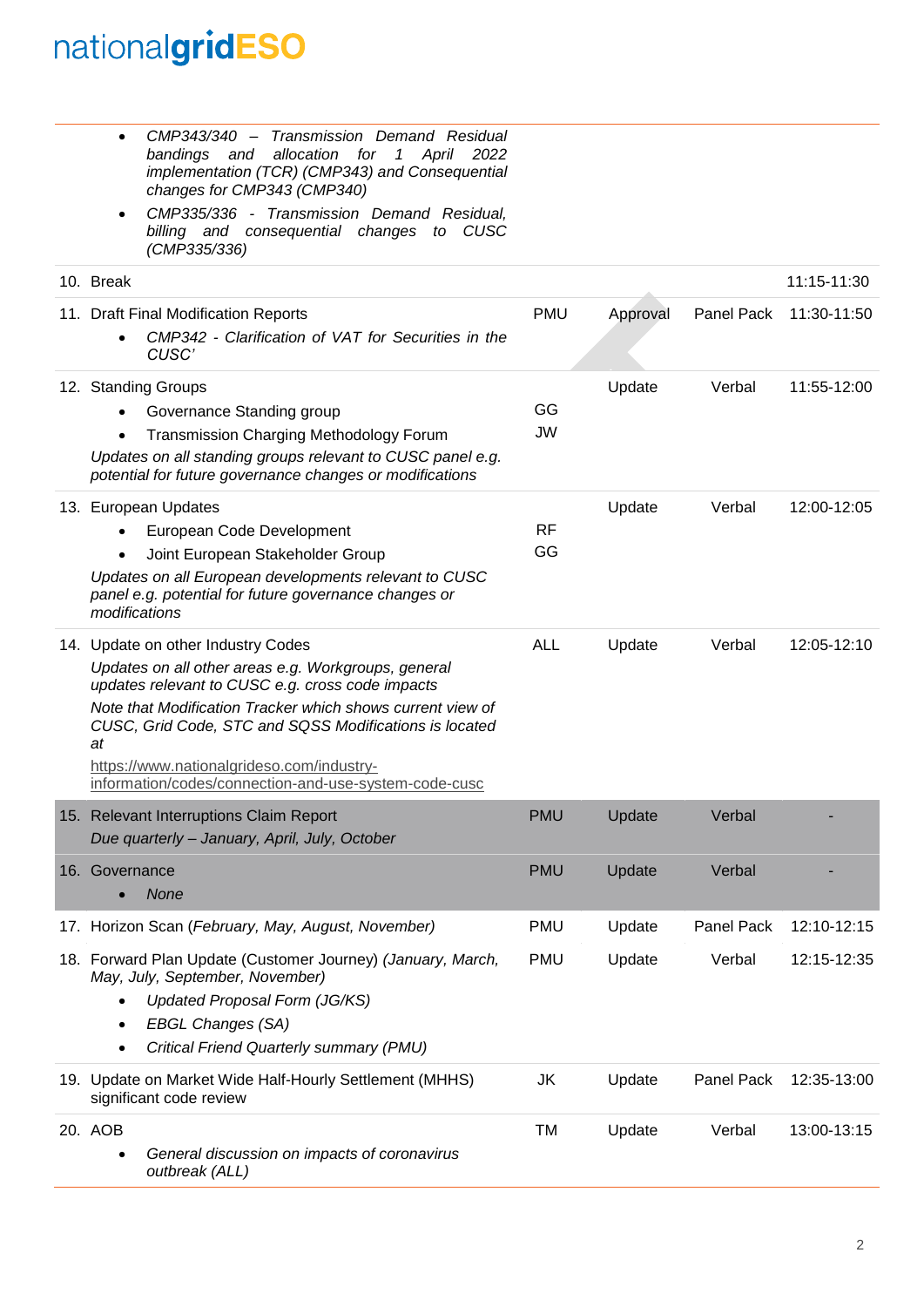## nationalgridESO

• *CMP343/340 – Transmission Demand Residual bandings and allocation for 1 April 2022* 

|                | implementation (TCR) (CMP343) and Consequential<br>changes for CMP343 (CMP340)                                                                                                                                                                                                                                                                                              |            |          |            |                 |
|----------------|-----------------------------------------------------------------------------------------------------------------------------------------------------------------------------------------------------------------------------------------------------------------------------------------------------------------------------------------------------------------------------|------------|----------|------------|-----------------|
|                | CMP335/336 - Transmission Demand Residual.<br>billing and consequential changes to CUSC<br>(CMP335/336)                                                                                                                                                                                                                                                                     |            |          |            |                 |
| 10. Break      |                                                                                                                                                                                                                                                                                                                                                                             |            |          |            | $11:15 - 11:30$ |
|                | 11. Draft Final Modification Reports                                                                                                                                                                                                                                                                                                                                        | <b>PMU</b> | Approval | Panel Pack | 11:30-11:50     |
|                | CMP342 - Clarification of VAT for Securities in the<br>CUSC'                                                                                                                                                                                                                                                                                                                |            |          |            |                 |
|                | 12. Standing Groups                                                                                                                                                                                                                                                                                                                                                         |            | Update   | Verbal     | 11:55-12:00     |
|                | Governance Standing group                                                                                                                                                                                                                                                                                                                                                   | GG         |          |            |                 |
| $\bullet$      | Transmission Charging Methodology Forum                                                                                                                                                                                                                                                                                                                                     | <b>JW</b>  |          |            |                 |
|                | Updates on all standing groups relevant to CUSC panel e.g.<br>potential for future governance changes or modifications                                                                                                                                                                                                                                                      |            |          |            |                 |
|                | 13. European Updates                                                                                                                                                                                                                                                                                                                                                        |            | Update   | Verbal     | 12:00-12:05     |
|                | European Code Development                                                                                                                                                                                                                                                                                                                                                   | <b>RF</b>  |          |            |                 |
|                | Joint European Stakeholder Group                                                                                                                                                                                                                                                                                                                                            | GG         |          |            |                 |
| modifications  | Updates on all European developments relevant to CUSC<br>panel e.g. potential for future governance changes or                                                                                                                                                                                                                                                              |            |          |            |                 |
| at             | 14. Update on other Industry Codes<br>Updates on all other areas e.g. Workgroups, general<br>updates relevant to CUSC e.g. cross code impacts<br>Note that Modification Tracker which shows current view of<br>CUSC, Grid Code, STC and SQSS Modifications is located<br>https://www.nationalgrideso.com/industry-<br>information/codes/connection-and-use-system-code-cusc | <b>ALL</b> | Update   | Verbal     | 12:05-12:10     |
|                | 15. Relevant Interruptions Claim Report<br>Due quarterly - January, April, July, October                                                                                                                                                                                                                                                                                    | <b>PMU</b> | Update   | Verbal     |                 |
| 16. Governance | <b>None</b>                                                                                                                                                                                                                                                                                                                                                                 | <b>PMU</b> | Update   | Verbal     |                 |
|                | 17. Horizon Scan (February, May, August, November)                                                                                                                                                                                                                                                                                                                          | <b>PMU</b> | Update   | Panel Pack | 12:10-12:15     |
| $\bullet$      | 18. Forward Plan Update (Customer Journey) (January, March,<br>May, July, September, November)<br>Updated Proposal Form (JG/KS)<br><b>EBGL Changes (SA)</b><br>Critical Friend Quarterly summary (PMU)                                                                                                                                                                      | <b>PMU</b> | Update   | Verbal     | 12:15-12:35     |
|                | 19. Update on Market Wide Half-Hourly Settlement (MHHS)<br>significant code review                                                                                                                                                                                                                                                                                          | JK         | Update   | Panel Pack | 12:35-13:00     |
| 20. AOB        | General discussion on impacts of coronavirus<br>outbreak (ALL)                                                                                                                                                                                                                                                                                                              | <b>TM</b>  | Update   | Verbal     | 13:00-13:15     |